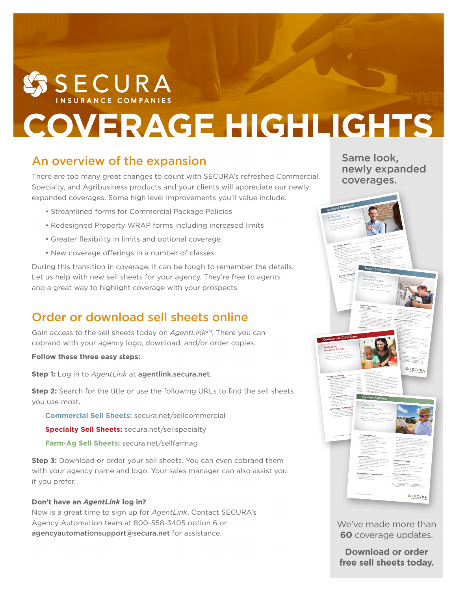# SSECURA

# **COVERAGE HIGHLIGHTS**

### An overview of the expansion

There are too many great changes to count with SECURA's refreshed Commercial, Specialty, and Agribusiness products and your clients will appreciate our newly expanded coverages. Some high level improvements you'll value include:

- Streamlined forms for Commercial Package Policies
- Redesigned Property WRAP forms including increased limits
- Greater flexibility in limits and optional coverage
- New coverage offerings in a number of classes

During this transition in coverage, it can be tough to remember the details. Let us help with new sell sheets for your agency. They're free to agents and a great way to highlight coverage with your prospects.

## Order or download sell sheets online

Gain access to the sell sheets today on *AgentLink*SM. There you can cobrand with your agency logo, download, and/or order copies.

#### **Follow these three easy steps:**

**Step 1:** Log in to *AgentLink* at agentlink.secura.net.

**Step 2:** Search for the title or use the following URLs to find the sell sheets you use most.

**Commercial Sell Sheets:** secura.net/sellcommercial

**Specialty Sell Sheets:** secura.net/sellspecialty

**Farm-Ag Sell Sheets:** secura.net/sellfarmag

**Step 3:** Download or order your sell sheets. You can even cobrand them with your agency name and logo. Your sales manager can also assist you if you prefer.

#### **Don't have an** *AgentLink* **log in?**

Now is a great time to sign up for *AgentLink*. Contact SECURA's Agency Automation team at 800-558-3405 option 6 or agencyautomationsupport@secura.net for assistance.

Same look, newly expanded coverages.

> Coverage for damage done to a building you are a tenant of by are a<br>competitive domain are a tenant of a tenant of by a tenant of a tenant of by a tenant of by a tenant of by a New Mark The Anglo Adam Adam For the protected by policies for up to<br>New York Care for all boths,<br>New York and shared of Party Seattlets with the Production for the protected by policies for up to Universal WRAP Flex Coverages **OUVEY REAL WIRE COURT COURT ADDRESS IN AN ARTIST COVERAGE**<br>C**OUR COVERAGE Limits reduce worry about her first coverage COVERAGE.** At the time of loss, apply the time of \$125,000 to any plane Combination of the six coverages below:<br>any compile and plane six coverages below:<br>any contribution from Fine Arts at Described Premises<br>Fine Arts at Described Premises Personal Political Property of Americans<br>Personal Property of Others (excluding employee tools)<br>Property of Others (employee tools)<br>Personal Property of Others (employee tools) Public Safety Service Charges<br>Public Safety Service Constants See reverse side for complete coverages. Value-Added Services Contractor ontractor we're notified of a loss, we call you back with a loss, we call you back with  $\sim$ 24 hours, follow up to regular with you until your claim is resolved. Consultative Risk Management  $\mathbf{V}$  $y_0$  is a safety resource to  $\Box$ *Prevention Connection*SM. *These are coverage highlights. For a complete list of coverages, please see the reverse side of this document.*<br> *side of this document in the details.*

Protection designed for you. You need specialized business protection.<br>You get funds reflection processes. With SECURA, you get t<sub>radi</sub>tive insurance and service tailore (CCUR)<br>four business t<sub>o give</sub> you perce and service tailores in your business to give you peace of mind.

Target Contractor

Protection designed for you. We signed tor you work to make your business a success.<br>He signed to make you work to make your business a success. With SECURA, you get trade-specific insurance tailor and the<br>With SECURA, you get trade-specific your generator traditional<br>With SECURA, you get the specific your group you have so the source of the can focus on growing your business. You is find a<br>growing the source of the can find a spin of the can find a spin of the cap of the cap of the cap of the cap o<br>which was the cap of the cap of our people truly care and enjoy helping you.<br>People to You, Care and enjoy helping helping you.<br>Care people care and enjoy

Business Protector

Key Coverage Benefits Coverage Features Building and Personal Property Coverage Form Causes of Loss — Special Form  $\begin{split} &\sum_{\substack{m\leq N\leq 2N\\ \log(N)\leq N\leq N}}\frac{4m!}{m!}\frac{1}{2}\frac{2^{2N+2}m!}{(2^N+1)!}\frac{2^{2N+2}m!}{(2^N+1)!}\frac{1}{2^N+1!}\frac{1}{2^N+1!}\frac{1}{2^N+1!}\frac{1}{2^N+1!}\frac{1}{2^N+1!}\frac{1}{2^N+1!}\frac{1}{2^N+1!}\frac{1}{2^N+1!}\frac{1}{2^N+1!}\frac{1}{2^N+1!}\frac{1}{2^N+1!}\frac{1}{2^$ Business Income — Discretionary Payroll Expense<br>Business Income — Discretionary Payroll Expense<br>Business Income — Discretionary Payroll Expense Computer Inc., Disconsidering in Business Personal Property Limited<br>Computer Property Limited in Business Personal Property Limited Inc., 2003<br>Computer Property Limited in Business Personal Property Limited Inc., 2004 Electronic Data..........................................................................\$25,000 Off-Premises Computer (includes transition)<br>Computer Computer (includes transition)<br>Computer (includes transition) ..................Included in Off-Premises Property Extension Limit Interruption of Computer Operations............................\$25,000 False Pretense Computer..........................................................\$1,000 Liability Coverage Occurrence............................................................................\$1,000,000 General Aggre<sup>g</sup>ate............................................................\$2,000,000 Operations Aggregate ..................................................\$2,000,000 Enhanced Security for Replaced security for prop Business Income was also designed and period in the Civil Section of Civil Section of Civil Section 1.<br>The Civil Section of Civil Section 1. The Civil Section 1. The Civil Section 1. The Civil Section 1. The Civil Section Authority and Breakdown period.<br>Authority and Breakdown period.

#### *Coverages may not be available in all states. Coverages described are subject to all the terms and conditions of the policy, including deductibles, exclusions, and limits of liability. Not all agents are authorized to write all types of insurance. Please read*  You'll find our people truly care and enjoy helping you. © 2018 SECURA Insurance BPM 0179 1806 P Key Coverage Benefits Property Coverage Contractor and Services WRAP Contractors' Equipment Options for Scheduled Equipment Client Property — Theft by Employee...........................\$10,000 Employee Tools......................................................................................\$5,000 Equipment Leased or Rented From Others..........................\$25,000 Per Employee.................................................................................\$1,000 Property Loaned To Others – Jobsite Coverage...............\$25,000\* Aggregate.....................................................................................\$10,000 Equipment Borrowed From Others.........................................\$25,000\* Jobsite Installation.............................................................................\$25,000 Universal WRAP — Expanded coverages from broad and<br>Positives from broadened coverages from broadward Other equipm<sub>ent</sub> coverages available<br>**Professor Pyothe** upon request. business income to computer and funds transfer<br>Distinctions income the and funds transfer funds<br>missions in the computer frauds transfer funds Business Protector Highlights Equipment Breakdown WRAP — Provides coverage for Building and Personal Property Coverage Form Water Back-up And Sump Overflow (not flood Universal WRAP — Flex Coverages...................................................\$125,000 General Liability Fine Arts at Described Premises General Liability WRAP — Broader general liability Fire Extinguisher Recharge protection with increased limits for supplementary Personal Property of Others payments, automatic additional insured status for (excluding employee tools) certain eligible persons or entities, and more Voluntary Property Damage..................................................\$2,500 Public Safety Service Charges **Computer Americans** Commercial Child Care Inland Marine Coverage Computers................Included in Business Personal Property Limit Contractors' Equipment Coverage Electronic Data....................................................................................\$25,000 Tools Endorsement.......................... \$2,000/tool, \$5,000 total\* Off-Premises Computer (includes transit) Scheduled Equipment and other optional equipment Included in Off-Premises Property Extension Limit Interruption of Computer Operations......................................\$25,000 coverage are available upon request. False Pretense Computer...................................................................\$1,000 Business Income — Actual Loss Sustained 12 Months Protection Business Income Controller Payroll Expenses Liability Coverage designed for you. Occurrence.....................................................................................\$1,000,000 General Aggregate.....................................................................\$2,000,000 You have care of children. We take care of you. **Products and Complete** Operations Aggregate.............................................................\$2,000,000 With SECURA, you get specialized insurance designed<br>With SECURA, you get specialized insurance designed *These are coverage highlights. For a complete list of coverages, please see the reverse side of this document. Contact your independent insurance agent for details.*  <sub>he </sub>views the unup<sub>til</sub>e needs.<br><sub>You'll</sub> find our periods indy care and enjoy helping you. **Coverages may not be available in all states.**<br>Coverages may not be available in all states of the states of the states of the states. Coverages of the states<br>Coverages of the states, all blends of the states of the state **the terms and conditions of the policy, including deductibles, exclusions, and limitations, and limitations, and limitations, and limitations, and limitations, and limitations, and limitations, and limitations, and limita** *of liability. Note all agents are authorized to write and all types of insurance. Please read and the plants are authorized to write all the plants are available to write and a set of insurance. Please read of the plants the policy carefully.* © 2018 SECURA Insurance BPM 0193 1809 P Commercial University Data Compromise Coverage Employee Benefits Liability Key Coverage Benefits Employment Practices Liability Equipment Breakdown Coverage Human Services Liability WRAP Abduction Expense ............................................................................\$50,000 Additional Insured — Human Service Organizations .... Include<sup>d</sup> broadenings such as Broad Form Personal and Advertising<br>Common Links and Advertising Personal Personal and Advertising Common and<br><sub>Repu</sub>sion Principle and Advertising Common Links and International Insurance of Building Owners and December 2014<br>In Jackson (1990), Analysis for Building A Red Building Owners and Building of Sections of the American Sectio<br>Integral Analysis and December 2014, and December Additional Insured — Limited Fellow Employee............... Include<sup>d</sup> or pelers may be written as the Build TV, and broadened<br>logical Authority where it by mrillian agreement, and broadened<br>Using where restained by mrillian agreement empires Damage to Property Caused by Client..................................\$30,000 Emergency Real Estate Consulting Fee................................\$20,000 Bodily Injury coverage for resulting mental anguish Key Employee Replacement .................................................. up to \$100,000 Excess Medical Payments for Volunteers................................\$5,000 *Pays expenses to recruit, relocate, and train a replacemen<sup>t</sup>* Extended Property Damage......................................................... Include<sup>d</sup> *should a key employee become permanently unable to work*  Identity Theft Expense......................................................................\$20,000 Unpaid Donation Pledges...............................................................\$20,000 Work Material Expenses......................................................................\$5,000 Limited Water Activity Cover<sup>age</sup> Non-Profit Directors and Officers Liability Universal WRAP — (provides coverage enhancements)  $t_{\text{O}}$  in Equation theory and securities,  $\frac{1}{2}$ Additional Important Features **Abonal Molestan**<br>Abuse & Mormial<sup>lan</sup> Coverage available Custom Farming tom Farming **Busi** Autor & Marmett Hard, and Non-Owned<br>Autor — Owned, Hard, and Non-Owned, wom narming Building, Contents, and Business Income coverage<br>Building, Contents, and Business Income Professional Liability Protection *Separate occurrence limit* tection Claims Services  $\blacksquare$  $\frac{1}{2}$  and for  $\frac{1}{2}$  vou until  $\frac{1}{2}$ Supplementary Coverage Available designed for you. Business Auto Waton — coverage extensions for the company of the company of the company of the company of the company of the company of the company of the company of the company of the company of the company of the company liability and physical damages coverage purchased and physical damages coverage purchased and physical damages purchased and physical damages and and physical damages and physical damages and physical damages and physical Consultative Risk Managemen<sup>t</sup> We offer risk management solutions that help you improve safety. include Hired Auto Physical Damage, Employee Hired Auto Physical Damage, Employee Hired Auto Physical Damage,<br>Include Automatic Auto Physical Damage, Employee Hired Auto Physical Damage, Employee Hired Auto Physical Dama<br>I As a custom farming operator, you have expressive that are<br>Attending book are and completely You've accessing you have a question indicate to our online safety resources in the safety resource of the safety resource of the safety resource in the safety resource of the safety resource in the safety resource of the Autor, Employees as Insured Benedict Community<br>Autor: Employees as Insureds, Rental Rental Rental Rental Rental Rental Rental Rental Rental Rental Rental Ren<br>Autor: Employees as Insurances different from the average farmer. Coverage, and Personal Effects from Stolen Auto *Prevention Connection*SM. *Coverages may not be available in all states. Coverages described are subject to all*  With SECURA, you that insurance tailored to your needs and<br>Peers ny nord an usu ... *the terms and conditions of the policy, including deductibles, exclusions, and limits of liability. Not all agents are authorized to write all types of insurance. Please read the*  **Peace of mind so you can focus on your business.**<br>The peaces only only can can focus on your business. <sub>Now!</sub> Exce our people truly care and enjoy helping you. © 2018 SECURA Insurance SSE 0006 1806 P Key Coverage Benefits Flexible General Liability enhancements include: Property WRAP enhancement options, including Custom Farming Liability Coverage Contractor or Services WRAP and Elite Contractor WRAP Property Damage Liability Coverage is expanded General Liability WRAP — Broader general liability protection (California) Limited Pesticide/Herbicide/Fertilizer Applicator with in<sub>stru</sub>mental limits for supplementary payments in the limits of the second long<br>With limits in <sub>part</sub>ment s<sub>taken</sub> and the second long-ments, *automatic* additional insured status for certain eligible persons or Limited pollution liability Property damage caused by misapplication Additional Insured WRAP — Eliminate the hassle of endorsing yo<sub>ur</sub> polic<sub>y</sub> every time you that having of<br>arthur apr<sub>entment</sub> Ag Consulting Services Liability Property Damage is expanded for crop, soil, or farm management consulting Business Auto WRAP — It saves you money by including Sub-limit options available a number of valuable coverage extensions on one form. Includes Hired Physical Damage limit of \$50,000, rental Coverages Available Commercial General Liability: Premises, products, bodily injury, property damage, personal and advertising injury<br>Property coverains for Value-Added Services Property coverage for your buildings and investory in<br>Resince in terms and investory and investory Inland Marine coverage for your equipment, tools, Outstanding Claims Service and leased, rented, or borrowed items When we're notified of a loss, we call you back within 24 hours, follow up regularly, and work with you until Workers' Companion Commercial Liability Umbrella Your Workers' Compensation coverage includes 24/7 Supplementary Coverage Available Consultative Risk Management We offer risk management solutions that help your Employment Practices Liability Equipment Breakdown WRAP You have notinging access to *Preventing Connection* <sup>17</sup> managani <sub>din d</sub>a sand d<sub>in</sub> asamada <sub>din</sub> din aki ali pada 1970-anggota din gusahand aliy sukarad din anggot<br>1994-aastas and ay susayabang satirika panatoji di pagatang din ayutananan <sub>di</sub> managalitan managalitan ang **OSECURA** © 2018 SECURA Insurance AGB 0003 1801 P

We've made more than **60** coverage updates.

**Download or order free sell sheets today.**